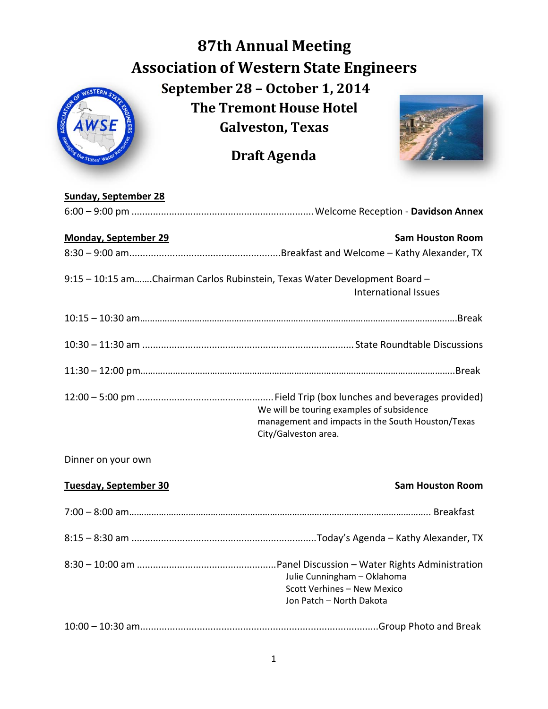## **87th Annual Meeting Association of Western State Engineers September 28 – October 1, 2014 The Tremont House Hotel Galveston, Texas**

**Draft Agenda**



## **Sunday, September 28**

| <b>Monday, September 29</b>                                                | <b>Sam Houston Room</b>                                                                                                |
|----------------------------------------------------------------------------|------------------------------------------------------------------------------------------------------------------------|
|                                                                            |                                                                                                                        |
| 9:15 - 10:15 amChairman Carlos Rubinstein, Texas Water Development Board - | <b>International Issues</b>                                                                                            |
|                                                                            |                                                                                                                        |
|                                                                            |                                                                                                                        |
|                                                                            |                                                                                                                        |
|                                                                            | We will be touring examples of subsidence<br>management and impacts in the South Houston/Texas<br>City/Galveston area. |
| Dinner on your own                                                         |                                                                                                                        |
| Tuesday, September 30                                                      | <b>Sam Houston Room</b>                                                                                                |
|                                                                            |                                                                                                                        |
|                                                                            |                                                                                                                        |
|                                                                            | Julie Cunningham - Oklahoma<br>Scott Verhines - New Mexico<br>Jon Patch - North Dakota                                 |
|                                                                            |                                                                                                                        |